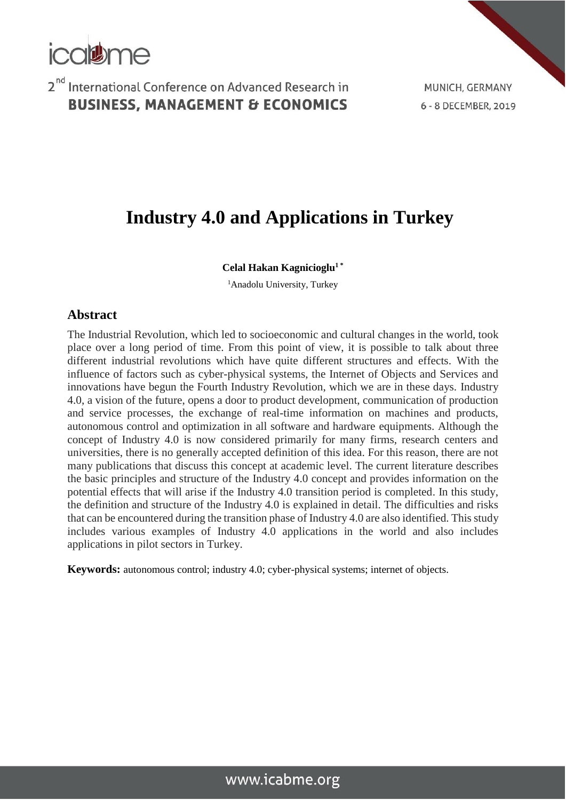

MUNICH, GERMANY 6 - 8 DECEMBER, 2019

# **Industry 4.0 and Applications in Turkey**

#### **Celal Hakan Kagnicioglu<sup>1</sup> \***

<sup>1</sup>Anadolu University, Turkey

#### **Abstract**

The Industrial Revolution, which led to socioeconomic and cultural changes in the world, took place over a long period of time. From this point of view, it is possible to talk about three different industrial revolutions which have quite different structures and effects. With the influence of factors such as cyber-physical systems, the Internet of Objects and Services and innovations have begun the Fourth Industry Revolution, which we are in these days. Industry 4.0, a vision of the future, opens a door to product development, communication of production and service processes, the exchange of real-time information on machines and products, autonomous control and optimization in all software and hardware equipments. Although the concept of Industry 4.0 is now considered primarily for many firms, research centers and universities, there is no generally accepted definition of this idea. For this reason, there are not many publications that discuss this concept at academic level. The current literature describes the basic principles and structure of the Industry 4.0 concept and provides information on the potential effects that will arise if the Industry 4.0 transition period is completed. In this study, the definition and structure of the Industry 4.0 is explained in detail. The difficulties and risks that can be encountered during the transition phase of Industry 4.0 are also identified. This study includes various examples of Industry 4.0 applications in the world and also includes applications in pilot sectors in Turkey.

**Keywords:** autonomous control; industry 4.0; cyber-physical systems; internet of objects.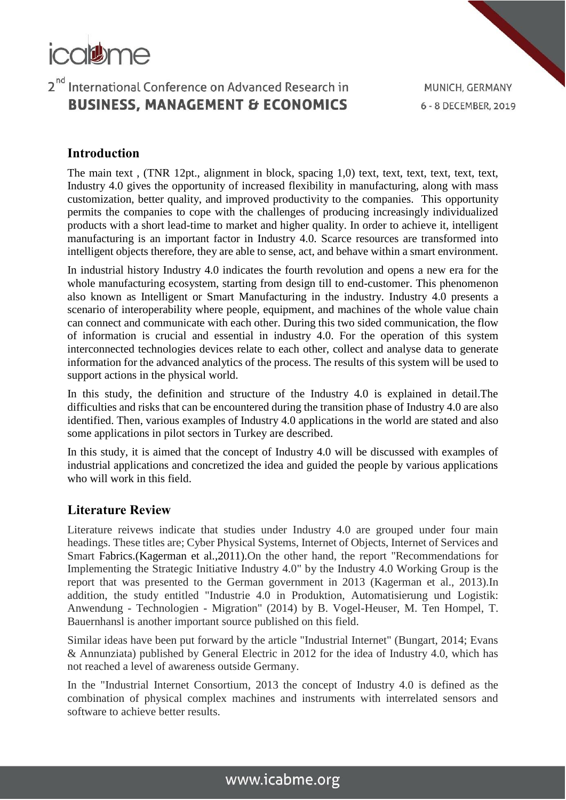

### **Introduction**

The main text , (TNR 12pt., alignment in block, spacing 1,0) text, text, text, text, text, text, Industry 4.0 gives the opportunity of increased flexibility in manufacturing, along with mass customization, better quality, and improved productivity to the companies. This opportunity permits the companies to cope with the challenges of producing increasingly individualized products with a short lead-time to market and higher quality. In order to achieve it, intelligent manufacturing is an important factor in Industry 4.0. Scarce resources are transformed into intelligent objects therefore, they are able to sense, act, and behave within a smart environment.

In industrial history Industry 4.0 indicates the fourth revolution and opens a new era for the whole manufacturing ecosystem, starting from design till to end-customer. This phenomenon also known as Intelligent or Smart Manufacturing in the industry. Industry 4.0 presents a scenario of interoperability where people, equipment, and machines of the whole value chain can connect and communicate with each other. During this two sided communication, the flow of information is crucial and essential in industry 4.0. For the operation of this system interconnected technologies devices relate to each other, collect and analyse data to generate information for the advanced analytics of the process. The results of this system will be used to support actions in the physical world.

In this study, the definition and structure of the Industry 4.0 is explained in detail.The difficulties and risks that can be encountered during the transition phase of Industry 4.0 are also identified. Then, various examples of Industry 4.0 applications in the world are stated and also some applications in pilot sectors in Turkey are described.

In this study, it is aimed that the concept of Industry 4.0 will be discussed with examples of industrial applications and concretized the idea and guided the people by various applications who will work in this field.

### **Literature Review**

Literature reivews indicate that studies under Industry 4.0 are grouped under four main headings. These titles are; Cyber Physical Systems, Internet of Objects, Internet of Services and Smart Fabrics.(Kagerman et al.,2011).On the other hand, the report "Recommendations for Implementing the Strategic Initiative Industry 4.0" by the Industry 4.0 Working Group is the report that was presented to the German government in 2013 (Kagerman et al., 2013).In addition, the study entitled "Industrie 4.0 in Produktion, Automatisierung und Logistik: Anwendung - Technologien - Migration" (2014) by B. Vogel-Heuser, M. Ten Hompel, T. Bauernhansl is another important source published on this field.

Similar ideas have been put forward by the article "Industrial Internet" (Bungart, 2014; Evans & Annunziata) published by General Electric in 2012 for the idea of Industry 4.0, which has not reached a level of awareness outside Germany.

In the "Industrial Internet Consortium, 2013 the concept of Industry 4.0 is defined as the combination of physical complex machines and instruments with interrelated sensors and software to achieve better results.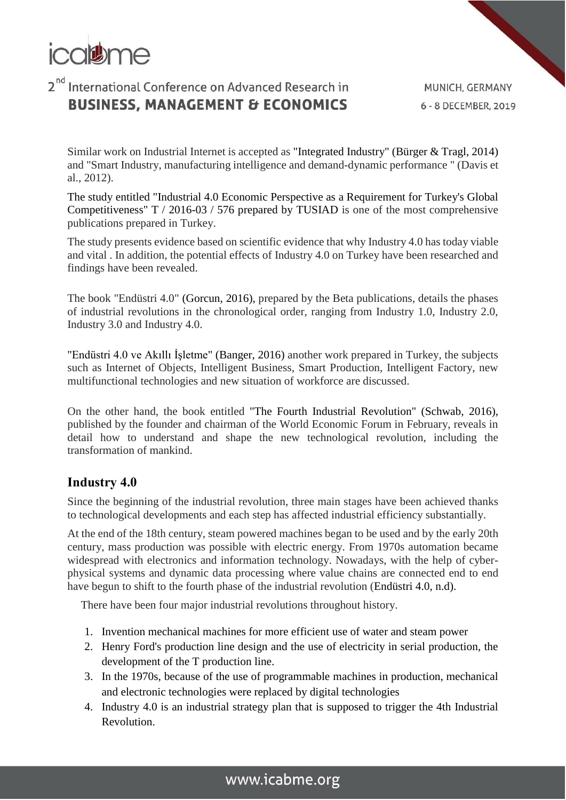

Similar work on Industrial Internet is accepted as "Integrated Industry" (Bürger & Tragl, 2014) and "Smart Industry, manufacturing intelligence and demand-dynamic performance " (Davis et al., 2012).

The study entitled "Industrial 4.0 Economic Perspective as a Requirement for Turkey's Global Competitiveness" T / 2016-03 / 576 prepared by TUSIAD is one of the most comprehensive publications prepared in Turkey.

The study presents evidence based on scientific evidence that why Industry 4.0 has today viable and vital . In addition, the potential effects of Industry 4.0 on Turkey have been researched and findings have been revealed.

The book "Endüstri 4.0" (Gorcun, 2016), prepared by the Beta publications, details the phases of industrial revolutions in the chronological order, ranging from Industry 1.0, Industry 2.0, Industry 3.0 and Industry 4.0.

"Endüstri 4.0 ve Akıllı İşletme" (Banger, 2016) another work prepared in Turkey, the subjects such as Internet of Objects, Intelligent Business, Smart Production, Intelligent Factory, new multifunctional technologies and new situation of workforce are discussed.

On the other hand, the book entitled "The Fourth Industrial Revolution" (Schwab, 2016), published by the founder and chairman of the World Economic Forum in February, reveals in detail how to understand and shape the new technological revolution, including the transformation of mankind.

### **Industry 4.0**

Since the beginning of the industrial revolution, three main stages have been achieved thanks to technological developments and each step has affected industrial efficiency substantially.

At the end of the 18th century, steam powered machines began to be used and by the early 20th century, mass production was possible with electric energy. From 1970s automation became widespread with electronics and information technology. Nowadays, with the help of cyberphysical systems and dynamic data processing where value chains are connected end to end have begun to shift to the fourth phase of the industrial revolution (Endüstri 4.0, n.d).

There have been four major industrial revolutions throughout history.

- 1. Invention mechanical machines for more efficient use of water and steam power
- 2. Henry Ford's production line design and the use of electricity in serial production, the development of the T production line.
- 3. In the 1970s, because of the use of programmable machines in production, mechanical and electronic technologies were replaced by digital technologies
- 4. Industry 4.0 is an industrial strategy plan that is supposed to trigger the 4th Industrial Revolution.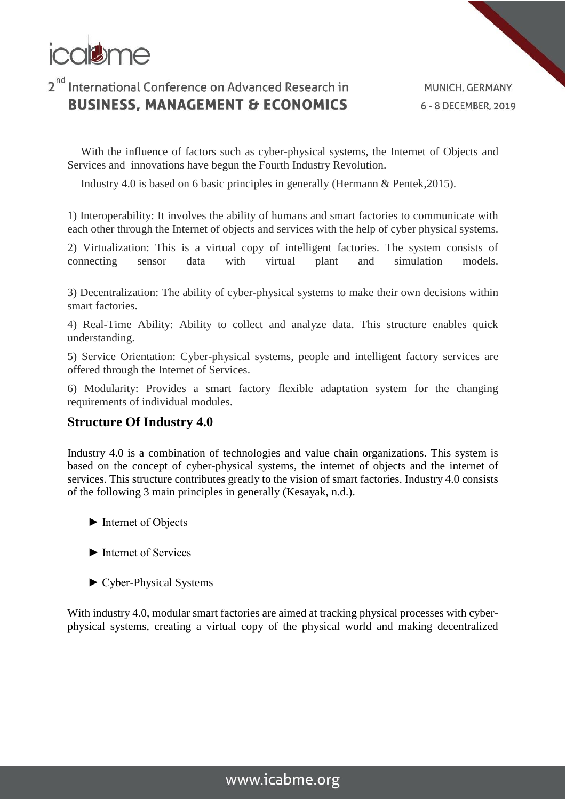

MUNICH, GERMANY 6 - 8 DECEMBER, 2019

With the influence of factors such as cyber-physical systems, the Internet of Objects and Services and innovations have begun the Fourth Industry Revolution.

Industry 4.0 is based on 6 basic principles in generally (Hermann & Pentek,2015).

1) Interoperability: It involves the ability of humans and smart factories to communicate with each other through the Internet of objects and services with the help of cyber physical systems.

2) Virtualization: This is a virtual copy of intelligent factories. The system consists of connecting sensor data with virtual plant and simulation models.

3) Decentralization: The ability of cyber-physical systems to make their own decisions within smart factories.

4) Real-Time Ability: Ability to collect and analyze data. This structure enables quick understanding.

5) Service Orientation: Cyber-physical systems, people and intelligent factory services are offered through the Internet of Services.

6) Modularity: Provides a smart factory flexible adaptation system for the changing requirements of individual modules.

### **Structure Of Industry 4.0**

Industry 4.0 is a combination of technologies and value chain organizations. This system is based on the concept of cyber-physical systems, the internet of objects and the internet of services. This structure contributes greatly to the vision of smart factories. Industry 4.0 consists of the following 3 main principles in generally (Kesayak, n.d.).

- ► Internet of Objects
- ► Internet of Services
- ► Cyber-Physical Systems

With industry 4.0, modular smart factories are aimed at tracking physical processes with cyberphysical systems, creating a virtual copy of the physical world and making decentralized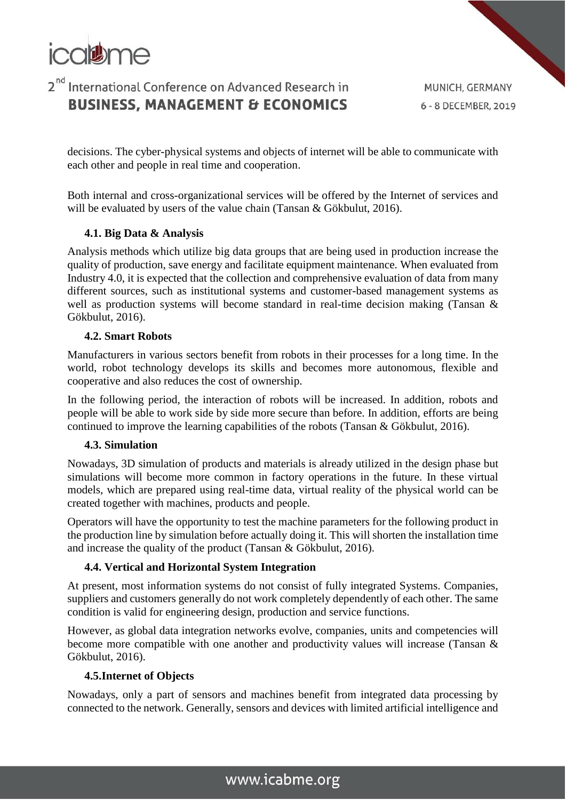

MUNICH, GERMANY 6 - 8 DECEMBER, 2019

decisions. The cyber-physical systems and objects of internet will be able to communicate with each other and people in real time and cooperation.

Both internal and cross-organizational services will be offered by the Internet of services and will be evaluated by users of the value chain (Tansan & Gökbulut, 2016).

#### **4.1. Big Data & Analysis**

Analysis methods which utilize big data groups that are being used in production increase the quality of production, save energy and facilitate equipment maintenance. When evaluated from Industry 4.0, it is expected that the collection and comprehensive evaluation of data from many different sources, such as institutional systems and customer-based management systems as well as production systems will become standard in real-time decision making (Tansan & Gökbulut, 2016).

#### **4.2. Smart Robots**

Manufacturers in various sectors benefit from robots in their processes for a long time. In the world, robot technology develops its skills and becomes more autonomous, flexible and cooperative and also reduces the cost of ownership.

In the following period, the interaction of robots will be increased. In addition, robots and people will be able to work side by side more secure than before. In addition, efforts are being continued to improve the learning capabilities of the robots (Tansan & Gökbulut, 2016).

#### **4.3. Simulation**

Nowadays, 3D simulation of products and materials is already utilized in the design phase but simulations will become more common in factory operations in the future. In these virtual models, which are prepared using real-time data, virtual reality of the physical world can be created together with machines, products and people.

Operators will have the opportunity to test the machine parameters for the following product in the production line by simulation before actually doing it. This will shorten the installation time and increase the quality of the product (Tansan & Gökbulut, 2016).

#### **4.4. Vertical and Horizontal System Integration**

At present, most information systems do not consist of fully integrated Systems. Companies, suppliers and customers generally do not work completely dependently of each other. The same condition is valid for engineering design, production and service functions.

However, as global data integration networks evolve, companies, units and competencies will become more compatible with one another and productivity values will increase (Tansan & Gökbulut, 2016).

#### **4.5.Internet of Objects**

Nowadays, only a part of sensors and machines benefit from integrated data processing by connected to the network. Generally, sensors and devices with limited artificial intelligence and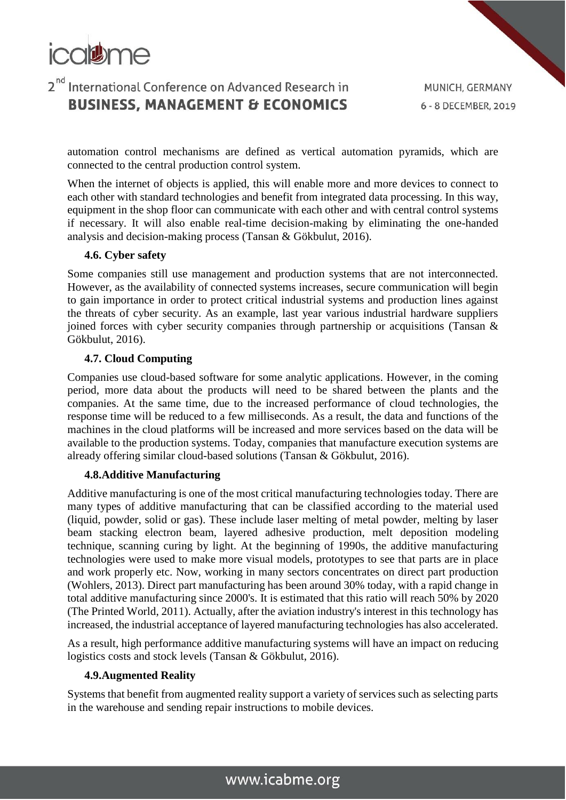

automation control mechanisms are defined as vertical automation pyramids, which are connected to the central production control system.

When the internet of objects is applied, this will enable more and more devices to connect to each other with standard technologies and benefit from integrated data processing. In this way, equipment in the shop floor can communicate with each other and with central control systems if necessary. It will also enable real-time decision-making by eliminating the one-handed analysis and decision-making process (Tansan & Gökbulut, 2016).

#### **4.6. Cyber safety**

Some companies still use management and production systems that are not interconnected. However, as the availability of connected systems increases, secure communication will begin to gain importance in order to protect critical industrial systems and production lines against the threats of cyber security. As an example, last year various industrial hardware suppliers joined forces with cyber security companies through partnership or acquisitions (Tansan & Gökbulut, 2016).

#### **4.7. Cloud Computing**

Companies use cloud-based software for some analytic applications. However, in the coming period, more data about the products will need to be shared between the plants and the companies. At the same time, due to the increased performance of cloud technologies, the response time will be reduced to a few milliseconds. As a result, the data and functions of the machines in the cloud platforms will be increased and more services based on the data will be available to the production systems. Today, companies that manufacture execution systems are already offering similar cloud-based solutions (Tansan & Gökbulut, 2016).

#### **4.8.Additive Manufacturing**

Additive manufacturing is one of the most critical manufacturing technologies today. There are many types of additive manufacturing that can be classified according to the material used (liquid, powder, solid or gas). These include laser melting of metal powder, melting by laser beam stacking electron beam, layered adhesive production, melt deposition modeling technique, scanning curing by light. At the beginning of 1990s, the additive manufacturing technologies were used to make more visual models, prototypes to see that parts are in place and work properly etc. Now, working in many sectors concentrates on direct part production (Wohlers, 2013). Direct part manufacturing has been around 30% today, with a rapid change in total additive manufacturing since 2000's. It is estimated that this ratio will reach 50% by 2020 (The Printed World, 2011). Actually, after the aviation industry's interest in this technology has increased, the industrial acceptance of layered manufacturing technologies has also accelerated.

As a result, high performance additive manufacturing systems will have an impact on reducing logistics costs and stock levels (Tansan & Gökbulut, 2016).

#### **4.9.Augmented Reality**

Systems that benefit from augmented reality support a variety of services such as selecting parts in the warehouse and sending repair instructions to mobile devices.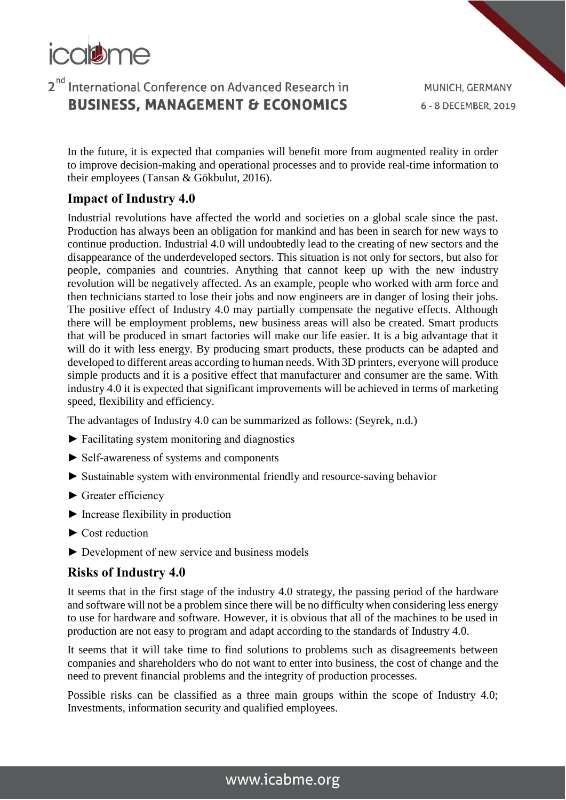

In the future, it is expected that companies will benefit more from augmented reality in order to improve decision-making and operational processes and to provide real-time information to their employees (Tansan & Gökbulut, 2016).

### **Impact of Industry 4.0**

Industrial revolutions have affected the world and societies on a global scale since the past. Production has always been an obligation for mankind and has been in search for new ways to continue production. Industrial 4.0 will undoubtedly lead to the creating of new sectors and the disappearance of the underdeveloped sectors. This situation is not only for sectors, but also for people, companies and countries. Anything that cannot keep up with the new industry revolution will be negatively affected. As an example, people who worked with arm force and then technicians started to lose their jobs and now engineers are in danger of losing their jobs. The positive effect of Industry 4.0 may partially compensate the negative effects. Although there will be employment problems, new business areas will also be created. Smart products that will be produced in smart factories will make our life easier. It is a big advantage that it will do it with less energy. By producing smart products, these products can be adapted and developed to different areas according to human needs. With 3D printers, everyone will produce simple products and it is a positive effect that manufacturer and consumer are the same. With industry 4.0 it is expected that significant improvements will be achieved in terms of marketing speed, flexibility and efficiency.

The advantages of Industry 4.0 can be summarized as follows: (Seyrek, n.d.)

- ► Facilitating system monitoring and diagnostics
- ► Self-awareness of systems and components
- ► Sustainable system with environmental friendly and resource-saving behavior
- ► Greater efficiency
- ► Increase flexibility in production
- ► Cost reduction
- ► Development of new service and business models

### **Risks of Industry 4.0**

It seems that in the first stage of the industry 4.0 strategy, the passing period of the hardware and software will not be a problem since there will be no difficulty when considering less energy to use for hardware and software. However, it is obvious that all of the machines to be used in production are not easy to program and adapt according to the standards of Industry 4.0.

It seems that it will take time to find solutions to problems such as disagreements between companies and shareholders who do not want to enter into business, the cost of change and the need to prevent financial problems and the integrity of production processes.

Possible risks can be classified as a three main groups within the scope of Industry 4.0; Investments, information security and qualified employees.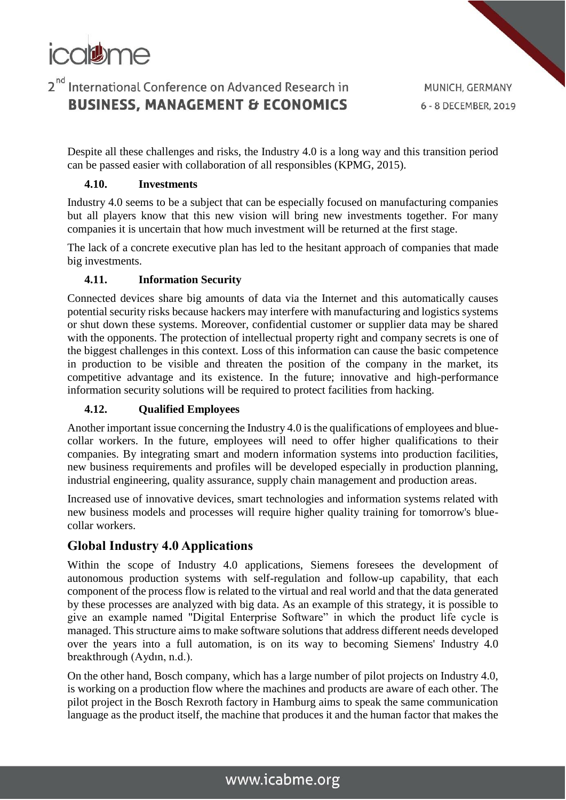

MUNICH, GERMANY 6 - 8 DECEMBER, 2019

Despite all these challenges and risks, the Industry 4.0 is a long way and this transition period can be passed easier with collaboration of all responsibles (KPMG, 2015).

#### **4.10. Investments**

Industry 4.0 seems to be a subject that can be especially focused on manufacturing companies but all players know that this new vision will bring new investments together. For many companies it is uncertain that how much investment will be returned at the first stage.

The lack of a concrete executive plan has led to the hesitant approach of companies that made big investments.

#### **4.11. Information Security**

Connected devices share big amounts of data via the Internet and this automatically causes potential security risks because hackers may interfere with manufacturing and logistics systems or shut down these systems. Moreover, confidential customer or supplier data may be shared with the opponents. The protection of intellectual property right and company secrets is one of the biggest challenges in this context. Loss of this information can cause the basic competence in production to be visible and threaten the position of the company in the market, its competitive advantage and its existence. In the future; innovative and high-performance information security solutions will be required to protect facilities from hacking.

#### **4.12. Qualified Employees**

Another important issue concerning the Industry 4.0 is the qualifications of employees and bluecollar workers. In the future, employees will need to offer higher qualifications to their companies. By integrating smart and modern information systems into production facilities, new business requirements and profiles will be developed especially in production planning, industrial engineering, quality assurance, supply chain management and production areas.

Increased use of innovative devices, smart technologies and information systems related with new business models and processes will require higher quality training for tomorrow's bluecollar workers.

### **Global Industry 4.0 Applications**

Within the scope of Industry 4.0 applications, Siemens foresees the development of autonomous production systems with self-regulation and follow-up capability, that each component of the process flow is related to the virtual and real world and that the data generated by these processes are analyzed with big data. As an example of this strategy, it is possible to give an example named "Digital Enterprise Software" in which the product life cycle is managed. This structure aims to make software solutions that address different needs developed over the years into a full automation, is on its way to becoming Siemens' Industry 4.0 breakthrough (Aydın, n.d.).

On the other hand, Bosch company, which has a large number of pilot projects on Industry 4.0, is working on a production flow where the machines and products are aware of each other. The pilot project in the Bosch Rexroth factory in Hamburg aims to speak the same communication language as the product itself, the machine that produces it and the human factor that makes the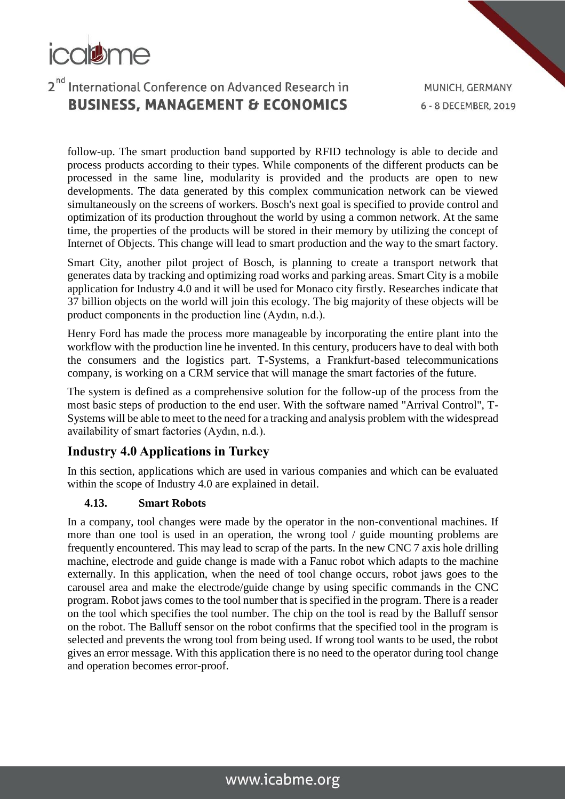

follow-up. The smart production band supported by RFID technology is able to decide and process products according to their types. While components of the different products can be processed in the same line, modularity is provided and the products are open to new developments. The data generated by this complex communication network can be viewed simultaneously on the screens of workers. Bosch's next goal is specified to provide control and optimization of its production throughout the world by using a common network. At the same time, the properties of the products will be stored in their memory by utilizing the concept of Internet of Objects. This change will lead to smart production and the way to the smart factory.

Smart City, another pilot project of Bosch, is planning to create a transport network that generates data by tracking and optimizing road works and parking areas. Smart City is a mobile application for Industry 4.0 and it will be used for Monaco city firstly. Researches indicate that 37 billion objects on the world will join this ecology. The big majority of these objects will be product components in the production line (Aydın, n.d.).

Henry Ford has made the process more manageable by incorporating the entire plant into the workflow with the production line he invented. In this century, producers have to deal with both the consumers and the logistics part. T-Systems, a Frankfurt-based telecommunications company, is working on a CRM service that will manage the smart factories of the future.

The system is defined as a comprehensive solution for the follow-up of the process from the most basic steps of production to the end user. With the software named "Arrival Control", T-Systems will be able to meet to the need for a tracking and analysis problem with the widespread availability of smart factories (Aydın, n.d.).

### **Industry 4.0 Applications in Turkey**

In this section, applications which are used in various companies and which can be evaluated within the scope of Industry 4.0 are explained in detail.

#### **4.13. Smart Robots**

In a company, tool changes were made by the operator in the non-conventional machines. If more than one tool is used in an operation, the wrong tool / guide mounting problems are frequently encountered. This may lead to scrap of the parts. In the new CNC 7 axis hole drilling machine, electrode and guide change is made with a Fanuc robot which adapts to the machine externally. In this application, when the need of tool change occurs, robot jaws goes to the carousel area and make the electrode/guide change by using specific commands in the CNC program. Robot jaws comes to the tool number that is specified in the program. There is a reader on the tool which specifies the tool number. The chip on the tool is read by the Balluff sensor on the robot. The Balluff sensor on the robot confirms that the specified tool in the program is selected and prevents the wrong tool from being used. If wrong tool wants to be used, the robot gives an error message. With this application there is no need to the operator during tool change and operation becomes error-proof.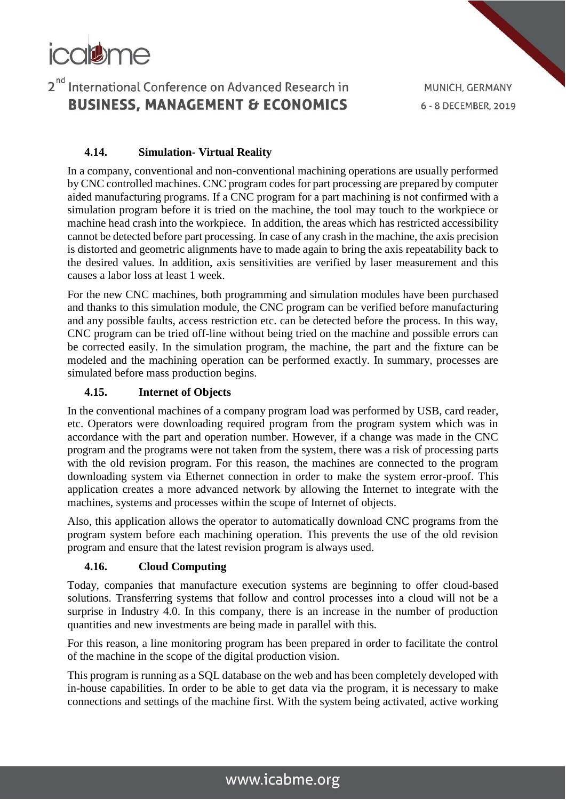

MUNICH, GERMANY 6 - 8 DECEMBER, 2019

#### **4.14. Simulation- Virtual Reality**

In a company, conventional and non-conventional machining operations are usually performed by CNC controlled machines. CNC program codes for part processing are prepared by computer aided manufacturing programs. If a CNC program for a part machining is not confirmed with a simulation program before it is tried on the machine, the tool may touch to the workpiece or machine head crash into the workpiece. In addition, the areas which has restricted accessibility cannot be detected before part processing. In case of any crash in the machine, the axis precision is distorted and geometric alignments have to made again to bring the axis repeatability back to the desired values. In addition, axis sensitivities are verified by laser measurement and this causes a labor loss at least 1 week.

For the new CNC machines, both programming and simulation modules have been purchased and thanks to this simulation module, the CNC program can be verified before manufacturing and any possible faults, access restriction etc. can be detected before the process. In this way, CNC program can be tried off-line without being tried on the machine and possible errors can be corrected easily. In the simulation program, the machine, the part and the fixture can be modeled and the machining operation can be performed exactly. In summary, processes are simulated before mass production begins.

#### **4.15. Internet of Objects**

In the conventional machines of a company program load was performed by USB, card reader, etc. Operators were downloading required program from the program system which was in accordance with the part and operation number. However, if a change was made in the CNC program and the programs were not taken from the system, there was a risk of processing parts with the old revision program. For this reason, the machines are connected to the program downloading system via Ethernet connection in order to make the system error-proof. This application creates a more advanced network by allowing the Internet to integrate with the machines, systems and processes within the scope of Internet of objects.

Also, this application allows the operator to automatically download CNC programs from the program system before each machining operation. This prevents the use of the old revision program and ensure that the latest revision program is always used.

#### **4.16. Cloud Computing**

Today, companies that manufacture execution systems are beginning to offer cloud-based solutions. Transferring systems that follow and control processes into a cloud will not be a surprise in Industry 4.0. In this company, there is an increase in the number of production quantities and new investments are being made in parallel with this.

For this reason, a line monitoring program has been prepared in order to facilitate the control of the machine in the scope of the digital production vision.

This program is running as a SQL database on the web and has been completely developed with in-house capabilities. In order to be able to get data via the program, it is necessary to make connections and settings of the machine first. With the system being activated, active working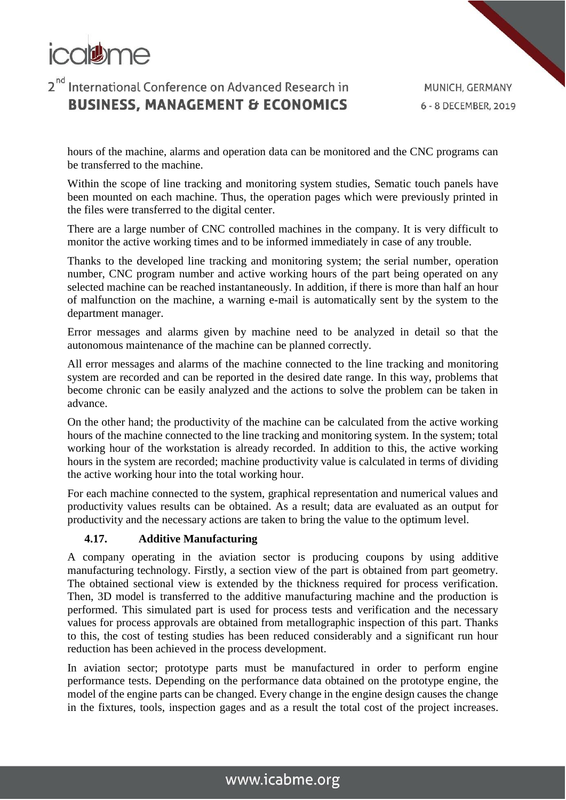

hours of the machine, alarms and operation data can be monitored and the CNC programs can be transferred to the machine.

Within the scope of line tracking and monitoring system studies, Sematic touch panels have been mounted on each machine. Thus, the operation pages which were previously printed in the files were transferred to the digital center.

There are a large number of CNC controlled machines in the company. It is very difficult to monitor the active working times and to be informed immediately in case of any trouble.

Thanks to the developed line tracking and monitoring system; the serial number, operation number, CNC program number and active working hours of the part being operated on any selected machine can be reached instantaneously. In addition, if there is more than half an hour of malfunction on the machine, a warning e-mail is automatically sent by the system to the department manager.

Error messages and alarms given by machine need to be analyzed in detail so that the autonomous maintenance of the machine can be planned correctly.

All error messages and alarms of the machine connected to the line tracking and monitoring system are recorded and can be reported in the desired date range. In this way, problems that become chronic can be easily analyzed and the actions to solve the problem can be taken in advance.

On the other hand; the productivity of the machine can be calculated from the active working hours of the machine connected to the line tracking and monitoring system. In the system; total working hour of the workstation is already recorded. In addition to this, the active working hours in the system are recorded; machine productivity value is calculated in terms of dividing the active working hour into the total working hour.

For each machine connected to the system, graphical representation and numerical values and productivity values results can be obtained. As a result; data are evaluated as an output for productivity and the necessary actions are taken to bring the value to the optimum level.

#### **4.17. Additive Manufacturing**

A company operating in the aviation sector is producing coupons by using additive manufacturing technology. Firstly, a section view of the part is obtained from part geometry. The obtained sectional view is extended by the thickness required for process verification. Then, 3D model is transferred to the additive manufacturing machine and the production is performed. This simulated part is used for process tests and verification and the necessary values for process approvals are obtained from metallographic inspection of this part. Thanks to this, the cost of testing studies has been reduced considerably and a significant run hour reduction has been achieved in the process development.

In aviation sector; prototype parts must be manufactured in order to perform engine performance tests. Depending on the performance data obtained on the prototype engine, the model of the engine parts can be changed. Every change in the engine design causes the change in the fixtures, tools, inspection gages and as a result the total cost of the project increases.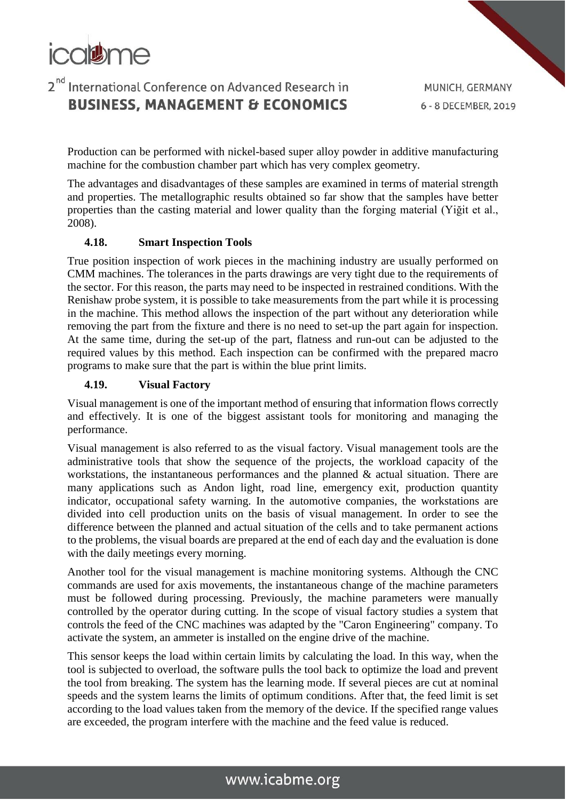

MUNICH, GERMANY 6 - 8 DECEMBER, 2019

Production can be performed with nickel-based super alloy powder in additive manufacturing machine for the combustion chamber part which has very complex geometry.

The advantages and disadvantages of these samples are examined in terms of material strength and properties. The metallographic results obtained so far show that the samples have better properties than the casting material and lower quality than the forging material (Yiğit et al., 2008).

#### **4.18. Smart Inspection Tools**

True position inspection of work pieces in the machining industry are usually performed on CMM machines. The tolerances in the parts drawings are very tight due to the requirements of the sector. For this reason, the parts may need to be inspected in restrained conditions. With the Renishaw probe system, it is possible to take measurements from the part while it is processing in the machine. This method allows the inspection of the part without any deterioration while removing the part from the fixture and there is no need to set-up the part again for inspection. At the same time, during the set-up of the part, flatness and run-out can be adjusted to the required values by this method. Each inspection can be confirmed with the prepared macro programs to make sure that the part is within the blue print limits.

#### **4.19. Visual Factory**

Visual management is one of the important method of ensuring that information flows correctly and effectively. It is one of the biggest assistant tools for monitoring and managing the performance.

Visual management is also referred to as the visual factory. Visual management tools are the administrative tools that show the sequence of the projects, the workload capacity of the workstations, the instantaneous performances and the planned  $\&$  actual situation. There are many applications such as Andon light, road line, emergency exit, production quantity indicator, occupational safety warning. In the automotive companies, the workstations are divided into cell production units on the basis of visual management. In order to see the difference between the planned and actual situation of the cells and to take permanent actions to the problems, the visual boards are prepared at the end of each day and the evaluation is done with the daily meetings every morning.

Another tool for the visual management is machine monitoring systems. Although the CNC commands are used for axis movements, the instantaneous change of the machine parameters must be followed during processing. Previously, the machine parameters were manually controlled by the operator during cutting. In the scope of visual factory studies a system that controls the feed of the CNC machines was adapted by the "Caron Engineering" company. To activate the system, an ammeter is installed on the engine drive of the machine.

This sensor keeps the load within certain limits by calculating the load. In this way, when the tool is subjected to overload, the software pulls the tool back to optimize the load and prevent the tool from breaking. The system has the learning mode. If several pieces are cut at nominal speeds and the system learns the limits of optimum conditions. After that, the feed limit is set according to the load values taken from the memory of the device. If the specified range values are exceeded, the program interfere with the machine and the feed value is reduced.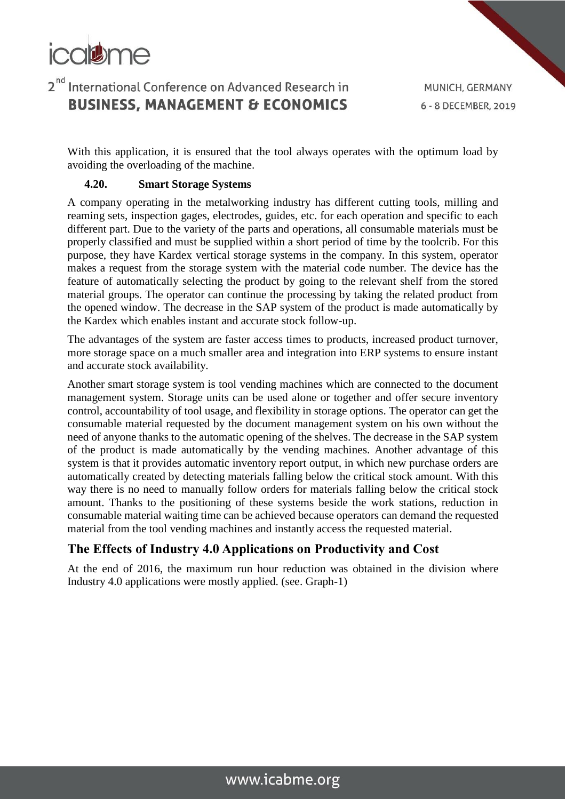

MUNICH, GERMANY 6 - 8 DECEMBER, 2019

With this application, it is ensured that the tool always operates with the optimum load by avoiding the overloading of the machine.

#### **4.20. Smart Storage Systems**

A company operating in the metalworking industry has different cutting tools, milling and reaming sets, inspection gages, electrodes, guides, etc. for each operation and specific to each different part. Due to the variety of the parts and operations, all consumable materials must be properly classified and must be supplied within a short period of time by the toolcrib. For this purpose, they have Kardex vertical storage systems in the company. In this system, operator makes a request from the storage system with the material code number. The device has the feature of automatically selecting the product by going to the relevant shelf from the stored material groups. The operator can continue the processing by taking the related product from the opened window. The decrease in the SAP system of the product is made automatically by the Kardex which enables instant and accurate stock follow-up.

The advantages of the system are faster access times to products, increased product turnover, more storage space on a much smaller area and integration into ERP systems to ensure instant and accurate stock availability.

Another smart storage system is tool vending machines which are connected to the document management system. Storage units can be used alone or together and offer secure inventory control, accountability of tool usage, and flexibility in storage options. The operator can get the consumable material requested by the document management system on his own without the need of anyone thanks to the automatic opening of the shelves. The decrease in the SAP system of the product is made automatically by the vending machines. Another advantage of this system is that it provides automatic inventory report output, in which new purchase orders are automatically created by detecting materials falling below the critical stock amount. With this way there is no need to manually follow orders for materials falling below the critical stock amount. Thanks to the positioning of these systems beside the work stations, reduction in consumable material waiting time can be achieved because operators can demand the requested material from the tool vending machines and instantly access the requested material.

### **The Effects of Industry 4.0 Applications on Productivity and Cost**

At the end of 2016, the maximum run hour reduction was obtained in the division where Industry 4.0 applications were mostly applied. (see. Graph-1)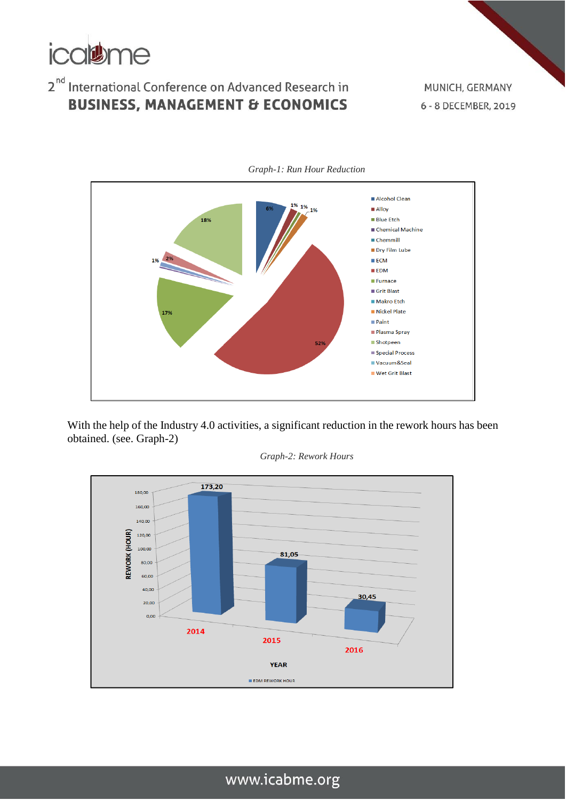

MUNICH, GERMANY 6 - 8 DECEMBER, 2019



*Graph-1: Run Hour Reduction*

With the help of the Industry 4.0 activities, a significant reduction in the rework hours has been obtained. (see. Graph-2)



*Graph-2: Rework Hours*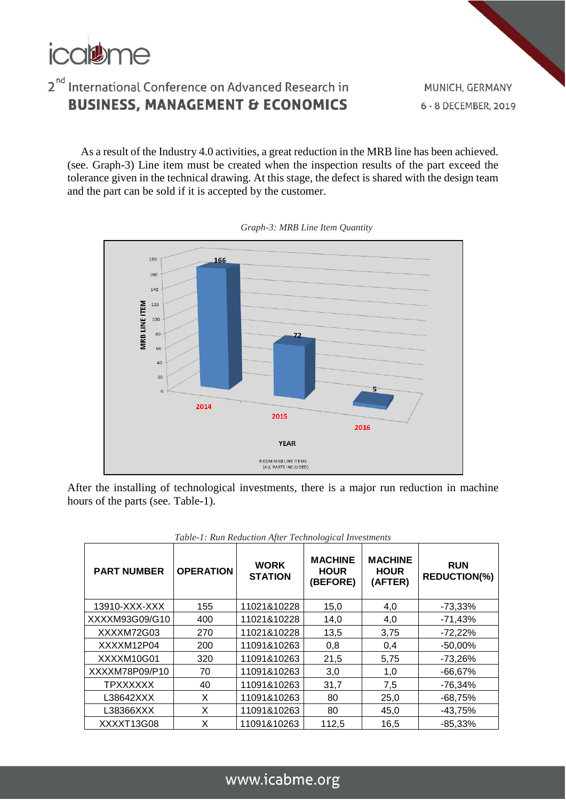

As a result of the Industry 4.0 activities, a great reduction in the MRB line has been achieved. (see. Graph-3) Line item must be created when the inspection results of the part exceed the tolerance given in the technical drawing. At this stage, the defect is shared with the design team and the part can be sold if it is accepted by the customer.



*Graph-3: MRB Line Item Quantity*

After the installing of technological investments, there is a major run reduction in machine hours of the parts (see. Table-1).

| <b>PART NUMBER</b> | <b>OPERATION</b> | <b>WORK</b><br><b>STATION</b> | <b>MACHINE</b><br><b>HOUR</b><br>(BEFORE) | <b>MACHINE</b><br><b>HOUR</b><br>(AFTER) | <b>RUN</b><br><b>REDUCTION(%)</b> |
|--------------------|------------------|-------------------------------|-------------------------------------------|------------------------------------------|-----------------------------------|
| 13910-XXX-XXX      | 155              | 11021&10228                   | 15,0                                      | 4,0                                      | $-73,33\%$                        |
| XXXXM93G09/G10     | 400              | 11021&10228                   | 14,0                                      | 4,0                                      | $-71,43%$                         |
| XXXXM72G03         | 270              | 11021&10228                   | 13,5                                      | 3,75                                     | $-72,22\%$                        |
| XXXXM12P04         | 200              | 11091&10263                   | 0,8                                       | 0,4                                      | $-50,00%$                         |
| XXXXM10G01         | 320              | 11091&10263                   | 21,5                                      | 5,75                                     | $-73.26%$                         |
| XXXXM78P09/P10     | 70               | 11091&10263                   | 3,0                                       | 1,0                                      | $-66,67%$                         |
| <b>TPXXXXXX</b>    | 40               | 11091&10263                   | 31,7                                      | 7,5                                      | $-76.34%$                         |
| L38642XXX          | X                | 11091&10263                   | 80                                        | 25,0                                     | $-68,75%$                         |
| L38366XXX          | X                | 11091&10263                   | 80                                        | 45,0                                     | $-43,75%$                         |
| XXXXT13G08         | X                | 11091&10263                   | 112,5                                     | 16,5                                     | $-85,33%$                         |

*Table-1: Run Reduction After Technological Investments*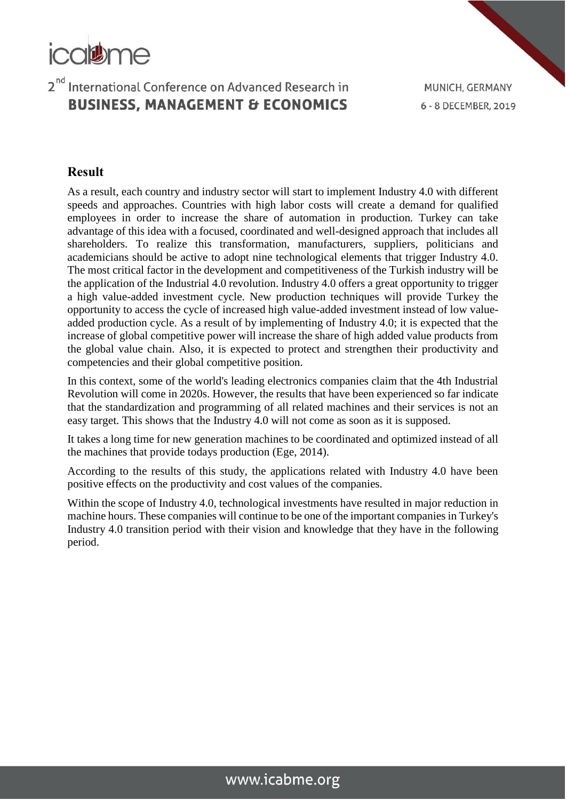

MUNICH, GERMANY 6 - 8 DECEMBER, 2019

### **Result**

As a result, each country and industry sector will start to implement Industry 4.0 with different speeds and approaches. Countries with high labor costs will create a demand for qualified employees in order to increase the share of automation in production. Turkey can take advantage of this idea with a focused, coordinated and well-designed approach that includes all shareholders. To realize this transformation, manufacturers, suppliers, politicians and academicians should be active to adopt nine technological elements that trigger Industry 4.0. The most critical factor in the development and competitiveness of the Turkish industry will be the application of the Industrial 4.0 revolution. Industry 4.0 offers a great opportunity to trigger a high value-added investment cycle. New production techniques will provide Turkey the opportunity to access the cycle of increased high value-added investment instead of low valueadded production cycle. As a result of by implementing of Industry 4.0; it is expected that the increase of global competitive power will increase the share of high added value products from the global value chain. Also, it is expected to protect and strengthen their productivity and competencies and their global competitive position.

In this context, some of the world's leading electronics companies claim that the 4th Industrial Revolution will come in 2020s. However, the results that have been experienced so far indicate that the standardization and programming of all related machines and their services is not an easy target. This shows that the Industry 4.0 will not come as soon as it is supposed.

It takes a long time for new generation machines to be coordinated and optimized instead of all the machines that provide todays production (Ege, 2014).

According to the results of this study, the applications related with Industry 4.0 have been positive effects on the productivity and cost values of the companies.

Within the scope of Industry 4.0, technological investments have resulted in major reduction in machine hours. These companies will continue to be one of the important companies in Turkey's Industry 4.0 transition period with their vision and knowledge that they have in the following period.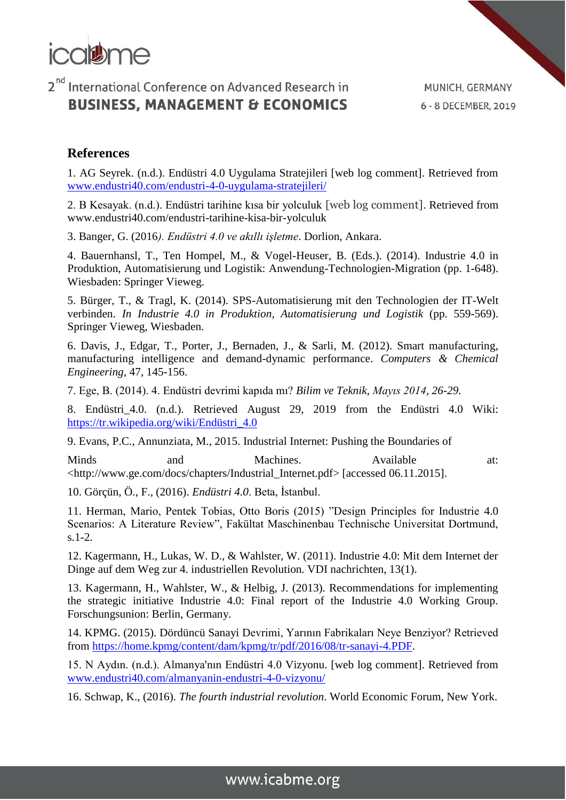

### **References**

1. AG Seyrek. (n.d.). Endüstri 4.0 Uygulama Stratejileri [web log comment]. Retrieved from [www.endustri40.com/endustri-4-0-uygulama-stratejileri/](http://www.endustri40.com/endustri-4-0-uygulama-stratejileri/)

2. B Kesayak. (n.d.). Endüstri tarihine kısa bir yolculuk [web log comment]. Retrieved from www.endustri40.com/endustri-tarihine-kisa-bir-yolculuk

3. Banger, G. (2016*). Endüstri 4.0 ve akıllı işletme*. Dorlion, Ankara.

4. Bauernhansl, T., Ten Hompel, M., & Vogel-Heuser, B. (Eds.). (2014). Industrie 4.0 in Produktion, Automatisierung und Logistik: Anwendung-Technologien-Migration (pp. 1-648). Wiesbaden: Springer Vieweg.

5. Bürger, T., & Tragl, K. (2014). SPS-Automatisierung mit den Technologien der IT-Welt verbinden. *In Industrie 4.0 in Produktion, Automatisierung und Logistik* (pp. 559-569). Springer Vieweg, Wiesbaden.

6. Davis, J., Edgar, T., Porter, J., Bernaden, J., & Sarli, M. (2012). Smart manufacturing, manufacturing intelligence and demand-dynamic performance. *Computers & Chemical Engineering*, 47, 145-156.

7. Ege, B. (2014). 4. Endüstri devrimi kapıda mı? *Bilim ve Teknik*, *Mayıs 2014, 26-29.*

8. Endüstri\_4.0. (n.d.). Retrieved August 29, 2019 from the Endüstri 4.0 Wiki: [https://tr.wikipedia.org/wiki/Endüstri\\_4.0](https://tr.wikipedia.org/wiki/Endüstri_4.0)

9. Evans, P.C., Annunziata, M., 2015. Industrial Internet: Pushing the Boundaries of

Minds and Machines. Available at: <http://www.ge.com/docs/chapters/Industrial\_Internet.pdf> [accessed 06.11.2015].

10. Görçün, Ö., F., (2016). *Endüstri 4.0*. Beta, İstanbul.

11. Herman, Mario, Pentek Tobias, Otto Boris (2015) "Design Principles for Industrie 4.0 Scenarios: A Literature Review", Fakültat Maschinenbau Technische Universitat Dortmund, s.1-2.

12. Kagermann, H., Lukas, W. D., & Wahlster, W. (2011). Industrie 4.0: Mit dem Internet der Dinge auf dem Weg zur 4. industriellen Revolution. VDI nachrichten, 13(1).

13. Kagermann, H., Wahlster, W., & Helbig, J. (2013). Recommendations for implementing the strategic initiative Industrie 4.0: Final report of the Industrie 4.0 Working Group. Forschungsunion: Berlin, Germany.

14. KPMG. (2015). Dördüncü Sanayi Devrimi, Yarının Fabrikaları Neye Benziyor? Retrieved from [https://home.kpmg/content/dam/kpmg/tr/pdf/2016/08/tr-sanayi-4.PDF.](https://home.kpmg/content/dam/kpmg/tr/pdf/2016/08/tr-sanayi-4.PDF)

15. N Aydın. (n.d.). Almanya'nın Endüstri 4.0 Vizyonu. [web log comment]. Retrieved from [www.endustri40.com/almanyanin-endustri-4-0-vizyonu/](http://www.endustri40.com/almanyanin-endustri-4-0-vizyonu/)

16. Schwap, K., (2016). *The fourth industrial revolution*. World Economic Forum, New York.